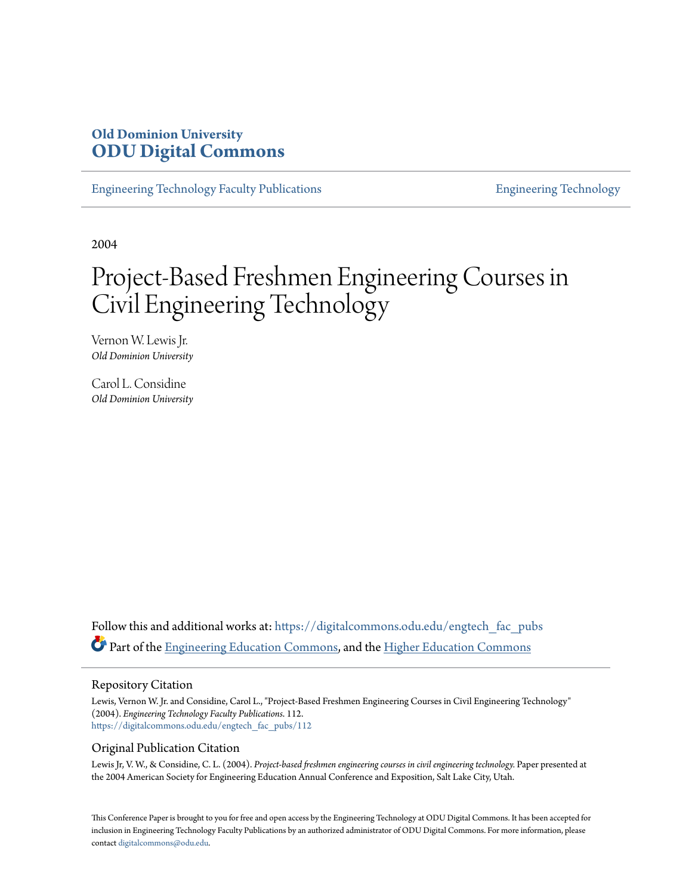# **Old Dominion University [ODU Digital Commons](https://digitalcommons.odu.edu?utm_source=digitalcommons.odu.edu%2Fengtech_fac_pubs%2F112&utm_medium=PDF&utm_campaign=PDFCoverPages)**

[Engineering Technology Faculty Publications](https://digitalcommons.odu.edu/engtech_fac_pubs?utm_source=digitalcommons.odu.edu%2Fengtech_fac_pubs%2F112&utm_medium=PDF&utm_campaign=PDFCoverPages) [Engineering Technology](https://digitalcommons.odu.edu/engtech?utm_source=digitalcommons.odu.edu%2Fengtech_fac_pubs%2F112&utm_medium=PDF&utm_campaign=PDFCoverPages)

2004

# Project-Based Freshmen Engineering Courses in Civil Engineering Technology

Vernon W. Lewis Jr. *Old Dominion University*

Carol L. Considine *Old Dominion University*

Follow this and additional works at: [https://digitalcommons.odu.edu/engtech\\_fac\\_pubs](https://digitalcommons.odu.edu/engtech_fac_pubs?utm_source=digitalcommons.odu.edu%2Fengtech_fac_pubs%2F112&utm_medium=PDF&utm_campaign=PDFCoverPages) Part of the [Engineering Education Commons](http://network.bepress.com/hgg/discipline/1191?utm_source=digitalcommons.odu.edu%2Fengtech_fac_pubs%2F112&utm_medium=PDF&utm_campaign=PDFCoverPages), and the [Higher Education Commons](http://network.bepress.com/hgg/discipline/1245?utm_source=digitalcommons.odu.edu%2Fengtech_fac_pubs%2F112&utm_medium=PDF&utm_campaign=PDFCoverPages)

#### Repository Citation

Lewis, Vernon W. Jr. and Considine, Carol L., "Project-Based Freshmen Engineering Courses in Civil Engineering Technology" (2004). *Engineering Technology Faculty Publications*. 112. [https://digitalcommons.odu.edu/engtech\\_fac\\_pubs/112](https://digitalcommons.odu.edu/engtech_fac_pubs/112?utm_source=digitalcommons.odu.edu%2Fengtech_fac_pubs%2F112&utm_medium=PDF&utm_campaign=PDFCoverPages)

#### Original Publication Citation

Lewis Jr, V. W., & Considine, C. L. (2004). *Project-based freshmen engineering courses in civil engineering technology.* Paper presented at the 2004 American Society for Engineering Education Annual Conference and Exposition, Salt Lake City, Utah.

This Conference Paper is brought to you for free and open access by the Engineering Technology at ODU Digital Commons. It has been accepted for inclusion in Engineering Technology Faculty Publications by an authorized administrator of ODU Digital Commons. For more information, please contact [digitalcommons@odu.edu](mailto:digitalcommons@odu.edu).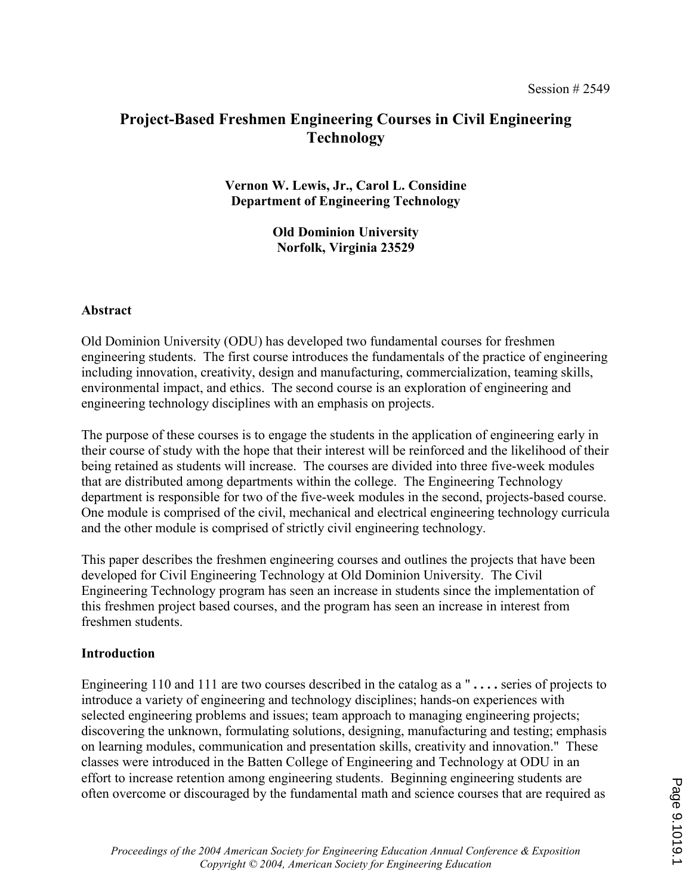# Project-Based Freshmen Engineering Courses in Civil Engineering Technology

## Vernon W. Lewis, Jr., Carol L. Considine Department of Engineering Technology

Old Dominion University Norfolk, Virginia 23529

## Abstract

Old Dominion University (ODU) has developed two fundamental courses for freshmen engineering students. The first course introduces the fundamentals of the practice of engineering including innovation, creativity, design and manufacturing, commercialization, teaming skills, environmental impact, and ethics. The second course is an exploration of engineering and engineering technology disciplines with an emphasis on projects.

The purpose of these courses is to engage the students in the application of engineering early in their course of study with the hope that their interest will be reinforced and the likelihood of their being retained as students will increase. The courses are divided into three five-week modules that are distributed among departments within the college. The Engineering Technology department is responsible for two of the five-week modules in the second, projects-based course. One module is comprised of the civil, mechanical and electrical engineering technology curricula and the other module is comprised of strictly civil engineering technology.

This paper describes the freshmen engineering courses and outlines the projects that have been developed for Civil Engineering Technology at Old Dominion University. The Civil Engineering Technology program has seen an increase in students since the implementation of this freshmen project based courses, and the program has seen an increase in interest from freshmen students.

### Introduction

Engineering 110 and 111 are two courses described in the catalog as a " . . . . series of projects to introduce a variety of engineering and technology disciplines; hands-on experiences with selected engineering problems and issues; team approach to managing engineering projects; discovering the unknown, formulating solutions, designing, manufacturing and testing; emphasis on learning modules, communication and presentation skills, creativity and innovation." These classes were introduced in the Batten College of Engineering and Technology at ODU in an effort to increase retention among engineering students. Beginning engineering students are often overcome or discouraged by the fundamental math and science courses that are required as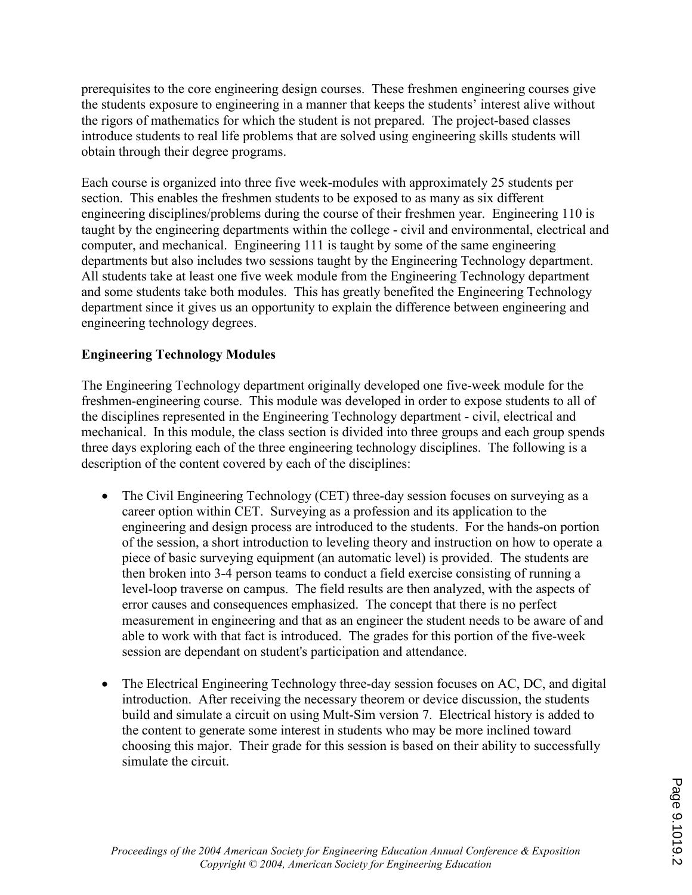prerequisites to the core engineering design courses. These freshmen engineering courses give the students exposure to engineering in a manner that keeps the students' interest alive without the rigors of mathematics for which the student is not prepared. The project-based classes introduce students to real life problems that are solved using engineering skills students will obtain through their degree programs.

Each course is organized into three five week-modules with approximately 25 students per section. This enables the freshmen students to be exposed to as many as six different engineering disciplines/problems during the course of their freshmen year. Engineering 110 is taught by the engineering departments within the college - civil and environmental, electrical and computer, and mechanical. Engineering 111 is taught by some of the same engineering departments but also includes two sessions taught by the Engineering Technology department. All students take at least one five week module from the Engineering Technology department and some students take both modules. This has greatly benefited the Engineering Technology department since it gives us an opportunity to explain the difference between engineering and engineering technology degrees.

## Engineering Technology Modules

The Engineering Technology department originally developed one five-week module for the freshmen-engineering course. This module was developed in order to expose students to all of the disciplines represented in the Engineering Technology department - civil, electrical and mechanical. In this module, the class section is divided into three groups and each group spends three days exploring each of the three engineering technology disciplines. The following is a description of the content covered by each of the disciplines:

- The Civil Engineering Technology (CET) three-day session focuses on surveying as a career option within CET. Surveying as a profession and its application to the engineering and design process are introduced to the students. For the hands-on portion of the session, a short introduction to leveling theory and instruction on how to operate a piece of basic surveying equipment (an automatic level) is provided. The students are then broken into 3-4 person teams to conduct a field exercise consisting of running a level-loop traverse on campus. The field results are then analyzed, with the aspects of error causes and consequences emphasized. The concept that there is no perfect measurement in engineering and that as an engineer the student needs to be aware of and able to work with that fact is introduced. The grades for this portion of the five-week session are dependant on student's participation and attendance.
- The Electrical Engineering Technology three-day session focuses on AC, DC, and digital introduction. After receiving the necessary theorem or device discussion, the students build and simulate a circuit on using Mult-Sim version 7. Electrical history is added to the content to generate some interest in students who may be more inclined toward choosing this major. Their grade for this session is based on their ability to successfully simulate the circuit.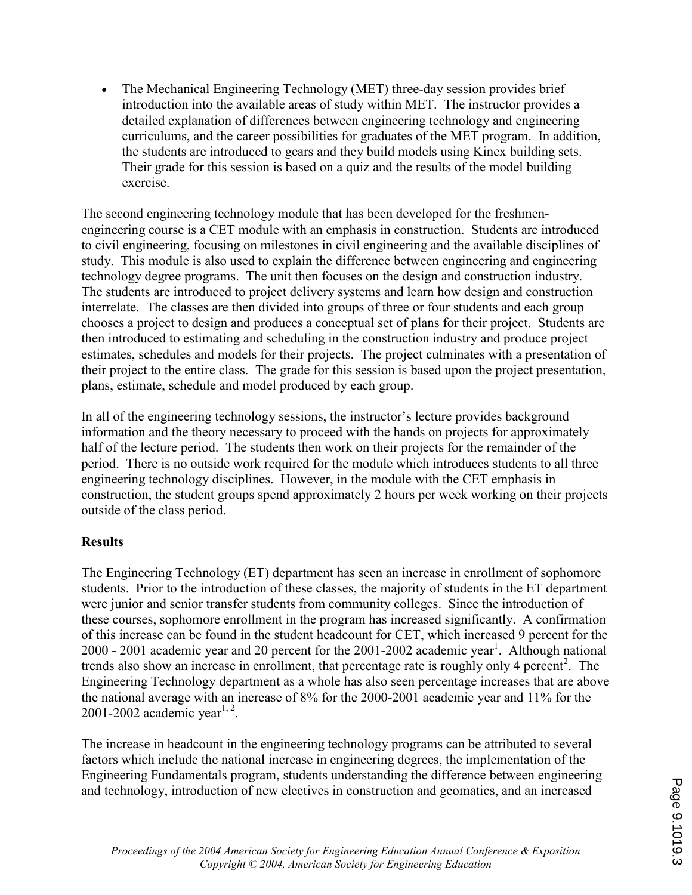• The Mechanical Engineering Technology (MET) three-day session provides brief introduction into the available areas of study within MET. The instructor provides a detailed explanation of differences between engineering technology and engineering curriculums, and the career possibilities for graduates of the MET program. In addition, the students are introduced to gears and they build models using Kinex building sets. Their grade for this session is based on a quiz and the results of the model building exercise.

The second engineering technology module that has been developed for the freshmenengineering course is a CET module with an emphasis in construction. Students are introduced to civil engineering, focusing on milestones in civil engineering and the available disciplines of study. This module is also used to explain the difference between engineering and engineering technology degree programs. The unit then focuses on the design and construction industry. The students are introduced to project delivery systems and learn how design and construction interrelate. The classes are then divided into groups of three or four students and each group chooses a project to design and produces a conceptual set of plans for their project. Students are then introduced to estimating and scheduling in the construction industry and produce project estimates, schedules and models for their projects. The project culminates with a presentation of their project to the entire class. The grade for this session is based upon the project presentation, plans, estimate, schedule and model produced by each group.

In all of the engineering technology sessions, the instructor's lecture provides background information and the theory necessary to proceed with the hands on projects for approximately half of the lecture period. The students then work on their projects for the remainder of the period. There is no outside work required for the module which introduces students to all three engineering technology disciplines. However, in the module with the CET emphasis in construction, the student groups spend approximately 2 hours per week working on their projects outside of the class period.

### **Results**

The Engineering Technology (ET) department has seen an increase in enrollment of sophomore students. Prior to the introduction of these classes, the majority of students in the ET department were junior and senior transfer students from community colleges. Since the introduction of these courses, sophomore enrollment in the program has increased significantly. A confirmation of this increase can be found in the student headcount for CET, which increased 9 percent for the  $2000 - 2001$  academic year and 20 percent for the  $2001 - 2002$  academic year<sup>1</sup>. Although national trends also show an increase in enrollment, that percentage rate is roughly only 4 percent<sup>2</sup>. The Engineering Technology department as a whole has also seen percentage increases that are above the national average with an increase of 8% for the 2000-2001 academic year and 11% for the 2001-2002 academic year<sup>1, 2</sup>.

The increase in headcount in the engineering technology programs can be attributed to several factors which include the national increase in engineering degrees, the implementation of the Engineering Fundamentals program, students understanding the difference between engineering and technology, introduction of new electives in construction and geomatics, and an increased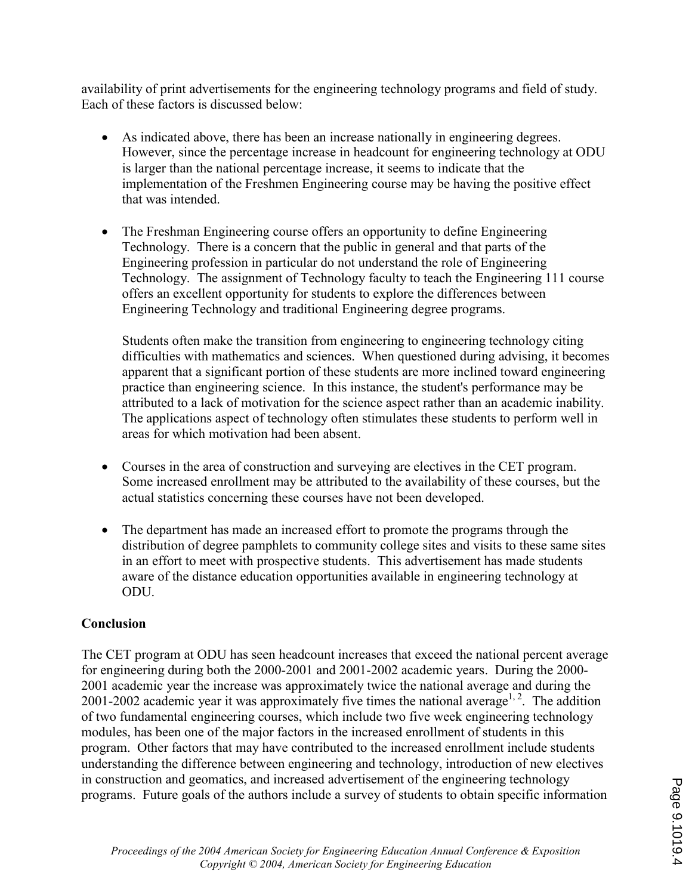availability of print advertisements for the engineering technology programs and field of study. Each of these factors is discussed below:

- As indicated above, there has been an increase nationally in engineering degrees. However, since the percentage increase in headcount for engineering technology at ODU is larger than the national percentage increase, it seems to indicate that the implementation of the Freshmen Engineering course may be having the positive effect that was intended.
- The Freshman Engineering course offers an opportunity to define Engineering Technology. There is a concern that the public in general and that parts of the Engineering profession in particular do not understand the role of Engineering Technology. The assignment of Technology faculty to teach the Engineering 111 course offers an excellent opportunity for students to explore the differences between Engineering Technology and traditional Engineering degree programs.

Students often make the transition from engineering to engineering technology citing difficulties with mathematics and sciences. When questioned during advising, it becomes apparent that a significant portion of these students are more inclined toward engineering practice than engineering science. In this instance, the student's performance may be attributed to a lack of motivation for the science aspect rather than an academic inability. The applications aspect of technology often stimulates these students to perform well in areas for which motivation had been absent.

- Courses in the area of construction and surveying are electives in the CET program. Some increased enrollment may be attributed to the availability of these courses, but the actual statistics concerning these courses have not been developed.
- The department has made an increased effort to promote the programs through the distribution of degree pamphlets to community college sites and visits to these same sites in an effort to meet with prospective students. This advertisement has made students aware of the distance education opportunities available in engineering technology at ODU.

## Conclusion

The CET program at ODU has seen headcount increases that exceed the national percent average for engineering during both the 2000-2001 and 2001-2002 academic years. During the 2000- 2001 academic year the increase was approximately twice the national average and during the 2001-2002 academic year it was approximately five times the national average<sup>1, 2</sup>. The addition of two fundamental engineering courses, which include two five week engineering technology modules, has been one of the major factors in the increased enrollment of students in this program. Other factors that may have contributed to the increased enrollment include students understanding the difference between engineering and technology, introduction of new electives in construction and geomatics, and increased advertisement of the engineering technology programs. Future goals of the authors include a survey of students to obtain specific information